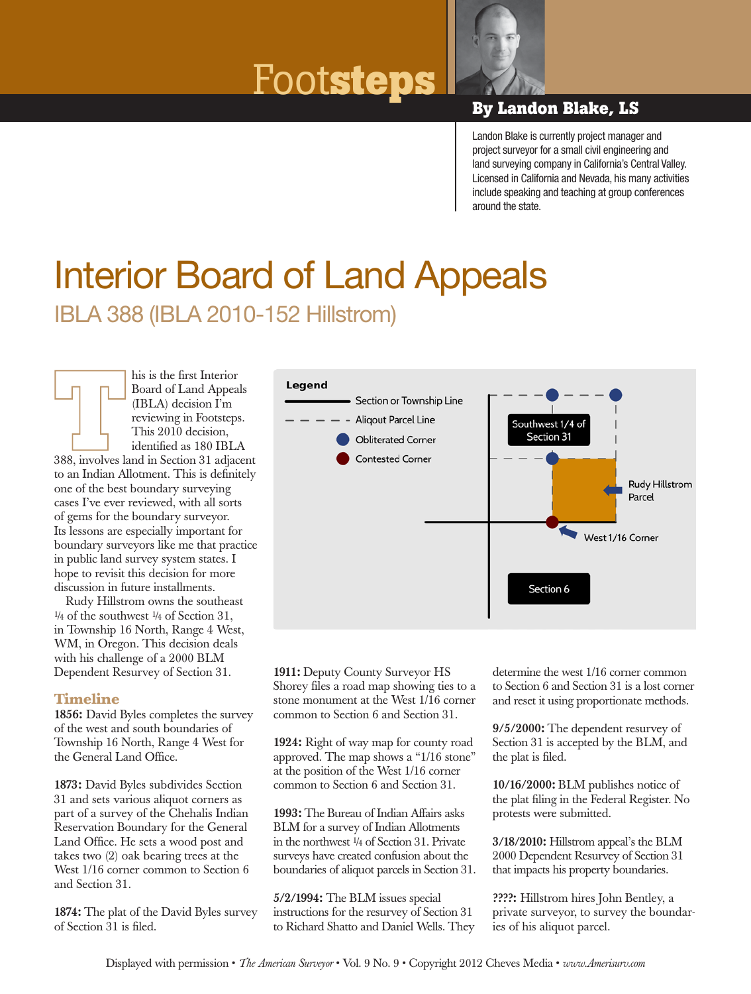# Foot**steps By Landon Blake, LS**



Landon Blake is currently project manager and project surveyor for a small civil engineering and land surveying company in California's Central Valley. Licensed in California and Nevada, his many activities include speaking and teaching at group conferences around the state.

## IBLA 388 (IBLA 2010-152 Hillstrom) Interior Board of Land Appeals

his is the first Interior Board of Land Appeals (IBLA) decision I'm reviewing in Footsteps. This 2010 decision, identified as 180 IBLA 388, involves land in Section 31 adjacent to an Indian Allotment. This is definitely one of the best boundary surveying cases I've ever reviewed, with all sorts of gems for the boundary surveyor. Its lessons are especially important for boundary surveyors like me that practice in public land survey system states. I hope to revisit this decision for more discussion in future installments.

Rudy Hillstrom owns the southeast  $\frac{1}{4}$  of the southwest  $\frac{1}{4}$  of Section 31, in Township 16 North, Range 4 West, WM, in Oregon. This decision deals with his challenge of a 2000 BLM Dependent Resurvey of Section 31.

#### **Timeline**

1856: David Byles completes the survey of the west and south boundaries of Township 16 North, Range 4 West for the General Land Office.

1873: David Byles subdivides Section 31 and sets various aliquot corners as part of a survey of the Chehalis Indian Reservation Boundary for the General Land Office. He sets a wood post and takes two (2) oak bearing trees at the West  $1/16$  corner common to Section 6 and Section 31.

1874: The plat of the David Byles survey of Section 31 is filed.



1911: Deputy County Surveyor HS Shorey files a road map showing ties to a stone monument at the West 1/16 corner common to Section 6 and Section 31.

1924: Right of way map for county road approved. The map shows a "1/16 stone" at the position of the West 1/16 corner common to Section 6 and Section 31.

1993: The Bureau of Indian Affairs asks BLM for a survey of Indian Allotments in the northwest ¼ of Section 31. Private surveys have created confusion about the boundaries of aliquot parcels in Section 31.

5/2/1994: The BLM issues special instructions for the resurvey of Section 31 to Richard Shatto and Daniel Wells. They

determine the west 1/16 corner common to Section 6 and Section 31 is a lost corner and reset it using proportionate methods.

9/5/2000: The dependent resurvey of Section 31 is accepted by the BLM, and the plat is filed.

10/16/2000: BLM publishes notice of the plat filing in the Federal Register. No protests were submitted.

3/18/2010: Hillstrom appeal's the BLM 2000 Dependent Resurvey of Section 31 that impacts his property boundaries.

????: Hillstrom hires John Bentley, a private surveyor, to survey the boundaries of his aliquot parcel.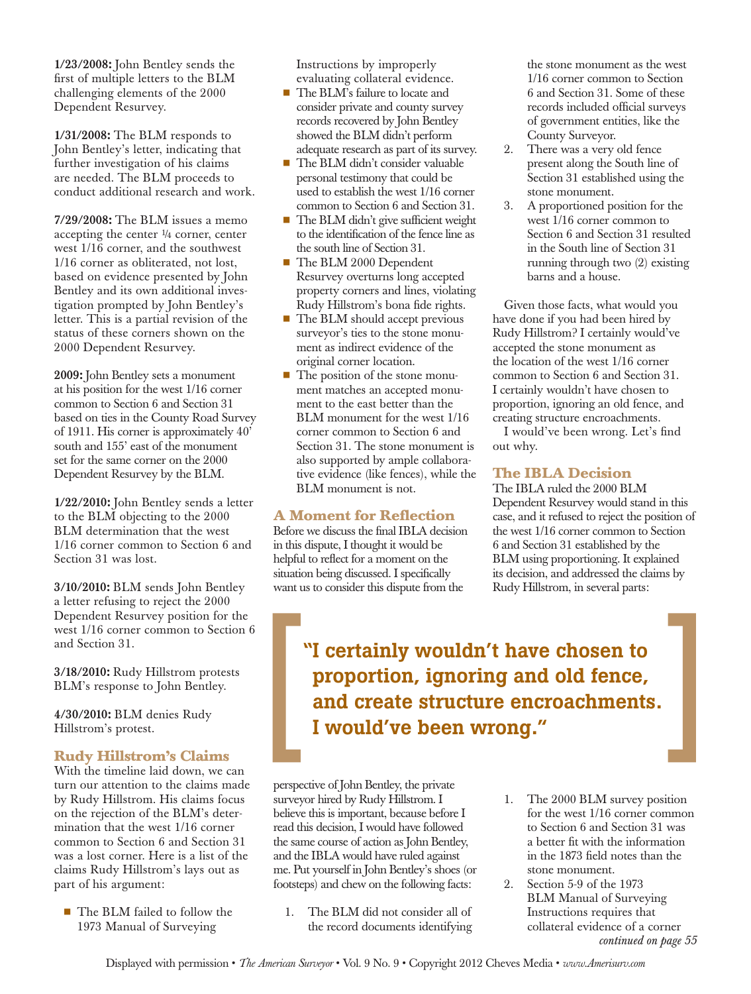1/23/2008: John Bentley sends the first of multiple letters to the BLM challenging elements of the 2000 Dependent Resurvey.

1/31/2008: The BLM responds to John Bentley's letter, indicating that further investigation of his claims are needed. The BLM proceeds to conduct additional research and work.

7/29/2008: The BLM issues a memo accepting the center  $\frac{1}{4}$  corner, center west 1/16 corner, and the southwest 1/16 corner as obliterated, not lost, based on evidence presented by John Bentley and its own additional investigation prompted by John Bentley's letter. This is a partial revision of the status of these corners shown on the 2000 Dependent Resurvey.

2009: John Bentley sets a monument at his position for the west 1/16 corner common to Section 6 and Section 31 based on ties in the County Road Survey of 1911. His corner is approximately 40' south and 155' east of the monument set for the same corner on the 2000 Dependent Resurvey by the BLM.

1/22/2010: John Bentley sends a letter to the BLM objecting to the 2000 BLM determination that the west 1/16 corner common to Section 6 and Section 31 was lost.

3/10/2010: BLM sends John Bentley a letter refusing to reject the 2000 Dependent Resurvey position for the west 1/16 corner common to Section 6 and Section 31.

3/18/2010: Rudy Hillstrom protests BLM's response to John Bentley.

4/30/2010: BLM denies Rudy Hillstrom's protest.

### **Rudy Hillstrom's Claims**

With the timeline laid down, we can turn our attention to the claims made by Rudy Hillstrom. His claims focus on the rejection of the BLM's determination that the west 1/16 corner common to Section 6 and Section 31 was a lost corner. Here is a list of the claims Rudy Hillstrom's lays out as part of his argument:

■ The BLM failed to follow the 1973 Manual of Surveying

Instructions by improperly evaluating collateral evidence.

- The BLM's failure to locate and consider private and county survey records recovered by John Bentley showed the BLM didn't perform adequate research as part of its survey.
- The BLM didn't consider valuable personal testimony that could be used to establish the west 1/16 corner common to Section 6 and Section 31.
- The BLM didn't give sufficient weight to the identification of the fence line as the south line of Section 31.
- The BLM 2000 Dependent Resurvey overturns long accepted property corners and lines, violating Rudy Hillstrom's bona fide rights.
- The BLM should accept previous surveyor's ties to the stone monument as indirect evidence of the original corner location.
- The position of the stone monument matches an accepted monument to the east better than the BLM monument for the west 1/16 corner common to Section 6 and Section 31. The stone monument is also supported by ample collaborative evidence (like fences), while the BLM monument is not.

#### **A Moment for Reflection**

Before we discuss the final IBLA decision in this dispute, I thought it would be helpful to reflect for a moment on the situation being discussed. I specifically want us to consider this dispute from the

the stone monument as the west 1/16 corner common to Section 6 and Section 31. Some of these records included official surveys of government entities, like the County Surveyor.

- 2. There was a very old fence present along the South line of Section 31 established using the stone monument.
- 3. A proportioned position for the west 1/16 corner common to Section 6 and Section 31 resulted in the South line of Section 31 running through two (2) existing barns and a house.

Given those facts, what would you have done if you had been hired by Rudy Hillstrom? I certainly would've accepted the stone monument as the location of the west 1/16 corner common to Section 6 and Section 31. I certainly wouldn't have chosen to proportion, ignoring an old fence, and creating structure encroachments.

I would've been wrong. Let's find out why.

### **The IBLA Decision**

The IBLA ruled the 2000 BLM Dependent Resurvey would stand in this case, and it refused to reject the position of the west 1/16 corner common to Section 6 and Section 31 established by the BLM using proportioning. It explained its decision, and addressed the claims by Rudy Hillstrom, in several parts:

"I certainly wouldn't have chosen to proportion, ignoring and old fence, and create structure encroachments. I would've been wrong."

perspective of John Bentley, the private surveyor hired by Rudy Hillstrom. I believe this is important, because before I read this decision, I would have followed the same course of action as John Bentley, and the IBLA would have ruled against me. Put yourself in John Bentley's shoes (or footsteps) and chew on the following facts:

- 1. The BLM did not consider all of the record documents identifying
- 1. The 2000 BLM survey position for the west 1/16 corner common to Section 6 and Section 31 was a better fit with the information in the 1873 field notes than the stone monument.
- 2. Section 5-9 of the 1973 BLM Manual of Surveying Instructions requires that collateral evidence of a corner *continued on page 55*